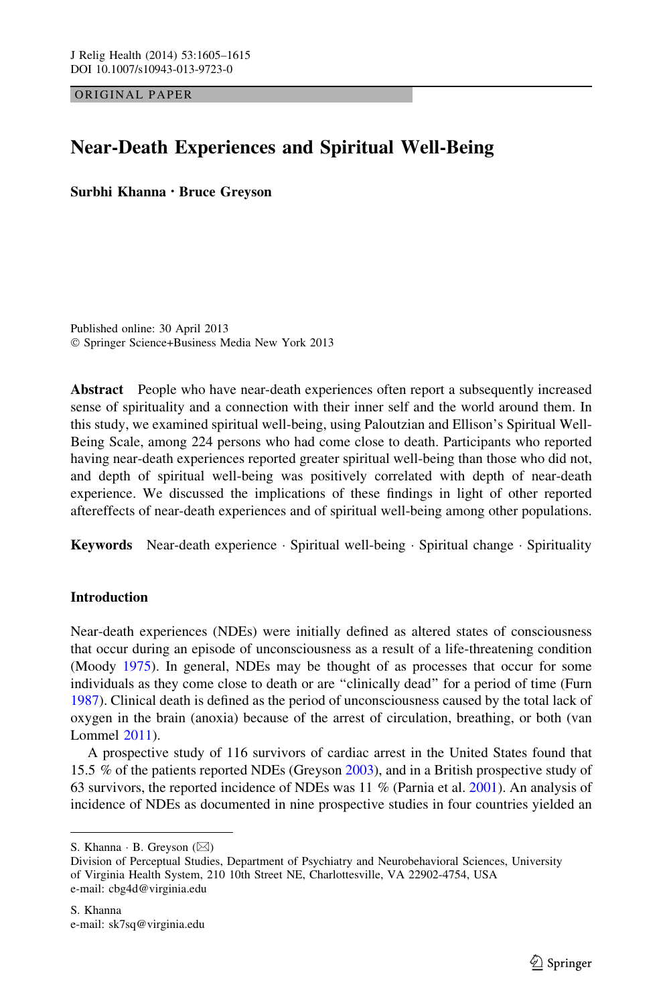ORIGINAL PAPER

# Near-Death Experiences and Spiritual Well-Being

Surbhi Khanna • Bruce Greyson

Published online: 30 April 2013 - Springer Science+Business Media New York 2013

Abstract People who have near-death experiences often report a subsequently increased sense of spirituality and a connection with their inner self and the world around them. In this study, we examined spiritual well-being, using Paloutzian and Ellison's Spiritual Well-Being Scale, among 224 persons who had come close to death. Participants who reported having near-death experiences reported greater spiritual well-being than those who did not, and depth of spiritual well-being was positively correlated with depth of near-death experience. We discussed the implications of these findings in light of other reported aftereffects of near-death experiences and of spiritual well-being among other populations.

Keywords Near-death experience · Spiritual well-being · Spiritual change · Spirituality

## **Introduction**

Near-death experiences (NDEs) were initially defined as altered states of consciousness that occur during an episode of unconsciousness as a result of a life-threatening condition (Moody [1975](#page-9-0)). In general, NDEs may be thought of as processes that occur for some individuals as they come close to death or are ''clinically dead'' for a period of time (Furn [1987\)](#page-9-0). Clinical death is defined as the period of unconsciousness caused by the total lack of oxygen in the brain (anoxia) because of the arrest of circulation, breathing, or both (van Lommel [2011](#page-10-0)).

A prospective study of 116 survivors of cardiac arrest in the United States found that 15.5 % of the patients reported NDEs (Greyson [2003\)](#page-9-0), and in a British prospective study of 63 survivors, the reported incidence of NDEs was 11 % (Parnia et al. [2001](#page-10-0)). An analysis of incidence of NDEs as documented in nine prospective studies in four countries yielded an

S. Khanna  $\cdot$  B. Greyson ( $\boxtimes$ )

Division of Perceptual Studies, Department of Psychiatry and Neurobehavioral Sciences, University of Virginia Health System, 210 10th Street NE, Charlottesville, VA 22902-4754, USA e-mail: cbg4d@virginia.edu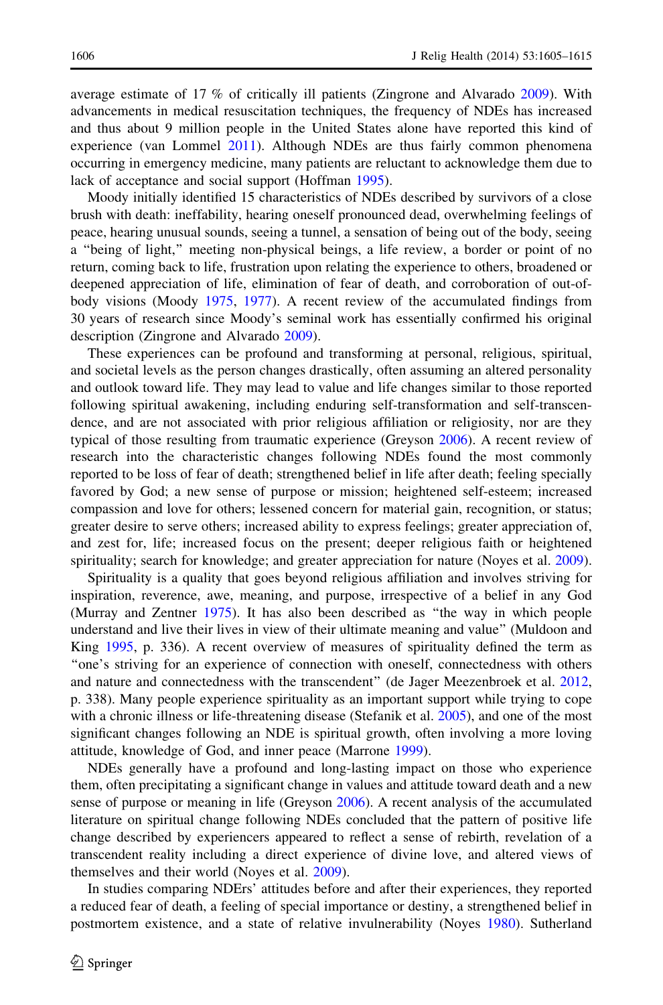average estimate of 17 % of critically ill patients (Zingrone and Alvarado [2009](#page-10-0)). With advancements in medical resuscitation techniques, the frequency of NDEs has increased and thus about 9 million people in the United States alone have reported this kind of experience (van Lommel [2011](#page-10-0)). Although NDEs are thus fairly common phenomena occurring in emergency medicine, many patients are reluctant to acknowledge them due to lack of acceptance and social support (Hoffman [1995\)](#page-9-0).

Moody initially identified 15 characteristics of NDEs described by survivors of a close brush with death: ineffability, hearing oneself pronounced dead, overwhelming feelings of peace, hearing unusual sounds, seeing a tunnel, a sensation of being out of the body, seeing a ''being of light,'' meeting non-physical beings, a life review, a border or point of no return, coming back to life, frustration upon relating the experience to others, broadened or deepened appreciation of life, elimination of fear of death, and corroboration of out-ofbody visions (Moody [1975,](#page-9-0) [1977](#page-9-0)). A recent review of the accumulated findings from 30 years of research since Moody's seminal work has essentially confirmed his original description (Zingrone and Alvarado [2009](#page-10-0)).

These experiences can be profound and transforming at personal, religious, spiritual, and societal levels as the person changes drastically, often assuming an altered personality and outlook toward life. They may lead to value and life changes similar to those reported following spiritual awakening, including enduring self-transformation and self-transcendence, and are not associated with prior religious affiliation or religiosity, nor are they typical of those resulting from traumatic experience (Greyson [2006](#page-9-0)). A recent review of research into the characteristic changes following NDEs found the most commonly reported to be loss of fear of death; strengthened belief in life after death; feeling specially favored by God; a new sense of purpose or mission; heightened self-esteem; increased compassion and love for others; lessened concern for material gain, recognition, or status; greater desire to serve others; increased ability to express feelings; greater appreciation of, and zest for, life; increased focus on the present; deeper religious faith or heightened spirituality; search for knowledge; and greater appreciation for nature (Noyes et al. [2009](#page-9-0)).

Spirituality is a quality that goes beyond religious affiliation and involves striving for inspiration, reverence, awe, meaning, and purpose, irrespective of a belief in any God (Murray and Zentner [1975\)](#page-9-0). It has also been described as ''the way in which people understand and live their lives in view of their ultimate meaning and value'' (Muldoon and King [1995,](#page-9-0) p. 336). A recent overview of measures of spirituality defined the term as ''one's striving for an experience of connection with oneself, connectedness with others and nature and connectedness with the transcendent'' (de Jager Meezenbroek et al. [2012](#page-9-0), p. 338). Many people experience spirituality as an important support while trying to cope with a chronic illness or life-threatening disease (Stefanik et al. [2005](#page-10-0)), and one of the most significant changes following an NDE is spiritual growth, often involving a more loving attitude, knowledge of God, and inner peace (Marrone [1999\)](#page-9-0).

NDEs generally have a profound and long-lasting impact on those who experience them, often precipitating a significant change in values and attitude toward death and a new sense of purpose or meaning in life (Greyson [2006](#page-9-0)). A recent analysis of the accumulated literature on spiritual change following NDEs concluded that the pattern of positive life change described by experiencers appeared to reflect a sense of rebirth, revelation of a transcendent reality including a direct experience of divine love, and altered views of themselves and their world (Noyes et al. [2009\)](#page-9-0).

In studies comparing NDErs' attitudes before and after their experiences, they reported a reduced fear of death, a feeling of special importance or destiny, a strengthened belief in postmortem existence, and a state of relative invulnerability (Noyes [1980\)](#page-9-0). Sutherland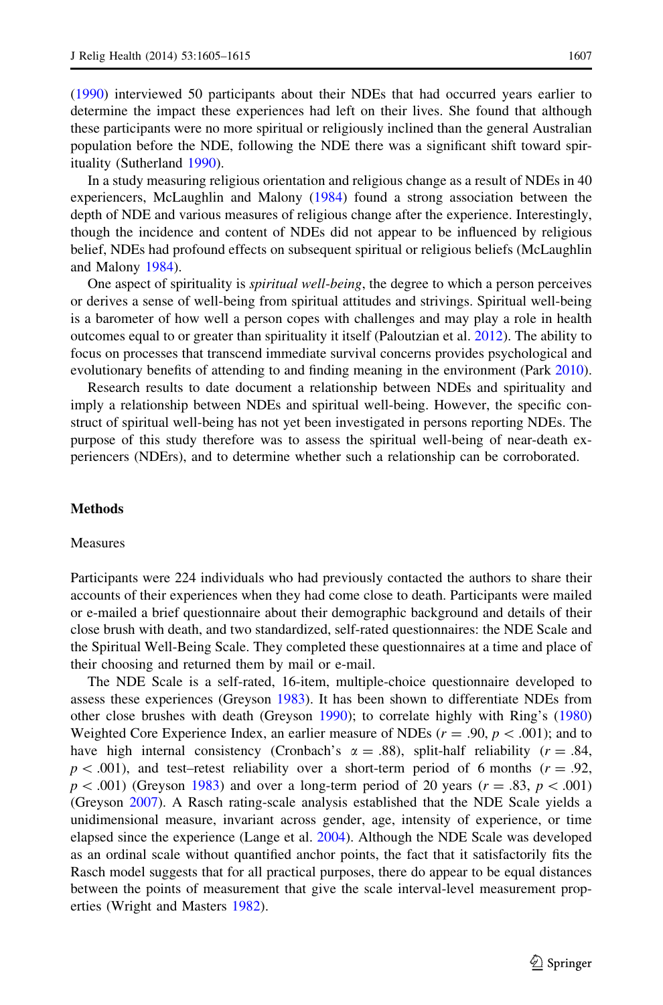([1990\)](#page-10-0) interviewed 50 participants about their NDEs that had occurred years earlier to determine the impact these experiences had left on their lives. She found that although these participants were no more spiritual or religiously inclined than the general Australian population before the NDE, following the NDE there was a significant shift toward spirituality (Sutherland [1990](#page-10-0)).

In a study measuring religious orientation and religious change as a result of NDEs in 40 experiencers, McLaughlin and Malony [\(1984](#page-9-0)) found a strong association between the depth of NDE and various measures of religious change after the experience. Interestingly, though the incidence and content of NDEs did not appear to be influenced by religious belief, NDEs had profound effects on subsequent spiritual or religious beliefs (McLaughlin and Malony [1984](#page-9-0)).

One aspect of spirituality is spiritual well-being, the degree to which a person perceives or derives a sense of well-being from spiritual attitudes and strivings. Spiritual well-being is a barometer of how well a person copes with challenges and may play a role in health outcomes equal to or greater than spirituality it itself (Paloutzian et al. [2012\)](#page-9-0). The ability to focus on processes that transcend immediate survival concerns provides psychological and evolutionary benefits of attending to and finding meaning in the environment (Park [2010](#page-10-0)).

Research results to date document a relationship between NDEs and spirituality and imply a relationship between NDEs and spiritual well-being. However, the specific construct of spiritual well-being has not yet been investigated in persons reporting NDEs. The purpose of this study therefore was to assess the spiritual well-being of near-death experiencers (NDErs), and to determine whether such a relationship can be corroborated.

### **Methods**

#### Measures

Participants were 224 individuals who had previously contacted the authors to share their accounts of their experiences when they had come close to death. Participants were mailed or e-mailed a brief questionnaire about their demographic background and details of their close brush with death, and two standardized, self-rated questionnaires: the NDE Scale and the Spiritual Well-Being Scale. They completed these questionnaires at a time and place of their choosing and returned them by mail or e-mail.

The NDE Scale is a self-rated, 16-item, multiple-choice questionnaire developed to assess these experiences (Greyson [1983](#page-9-0)). It has been shown to differentiate NDEs from other close brushes with death (Greyson [1990](#page-9-0)); to correlate highly with Ring's ([1980](#page-10-0)) Weighted Core Experience Index, an earlier measure of NDEs ( $r = .90, p < .001$ ); and to have high internal consistency (Cronbach's  $\alpha = .88$ ), split-half reliability ( $r = .84$ ,  $p$  < .001), and test–retest reliability over a short-term period of 6 months ( $r = .92$ ,  $p\lt 0.001$ ) (Greyson [1983\)](#page-9-0) and over a long-term period of 20 years (r = .83, p $\lt 0.001$ ) (Greyson [2007\)](#page-9-0). A Rasch rating-scale analysis established that the NDE Scale yields a unidimensional measure, invariant across gender, age, intensity of experience, or time elapsed since the experience (Lange et al. [2004](#page-9-0)). Although the NDE Scale was developed as an ordinal scale without quantified anchor points, the fact that it satisfactorily fits the Rasch model suggests that for all practical purposes, there do appear to be equal distances between the points of measurement that give the scale interval-level measurement properties (Wright and Masters [1982\)](#page-10-0).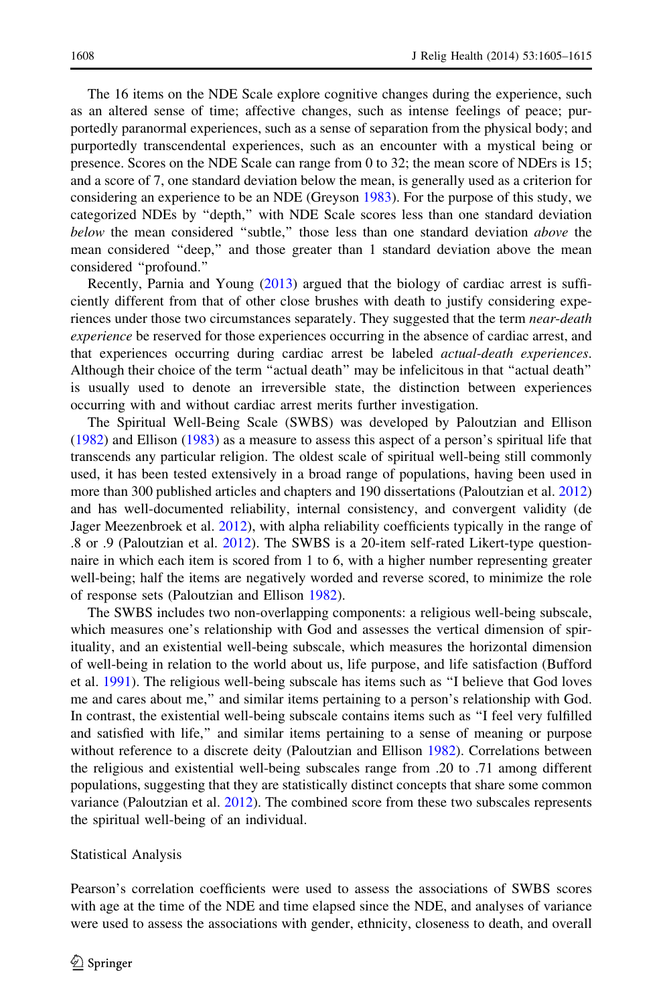The 16 items on the NDE Scale explore cognitive changes during the experience, such as an altered sense of time; affective changes, such as intense feelings of peace; purportedly paranormal experiences, such as a sense of separation from the physical body; and purportedly transcendental experiences, such as an encounter with a mystical being or presence. Scores on the NDE Scale can range from 0 to 32; the mean score of NDErs is 15; and a score of 7, one standard deviation below the mean, is generally used as a criterion for considering an experience to be an NDE (Greyson [1983\)](#page-9-0). For the purpose of this study, we categorized NDEs by ''depth,'' with NDE Scale scores less than one standard deviation below the mean considered "subtle," those less than one standard deviation *above* the mean considered ''deep,'' and those greater than 1 standard deviation above the mean considered ''profound.''

Recently, Parnia and Young [\(2013](#page-10-0)) argued that the biology of cardiac arrest is sufficiently different from that of other close brushes with death to justify considering experiences under those two circumstances separately. They suggested that the term near-death experience be reserved for those experiences occurring in the absence of cardiac arrest, and that experiences occurring during cardiac arrest be labeled actual-death experiences. Although their choice of the term ''actual death'' may be infelicitous in that ''actual death'' is usually used to denote an irreversible state, the distinction between experiences occurring with and without cardiac arrest merits further investigation.

The Spiritual Well-Being Scale (SWBS) was developed by Paloutzian and Ellison ([1982\)](#page-9-0) and Ellison [\(1983](#page-9-0)) as a measure to assess this aspect of a person's spiritual life that transcends any particular religion. The oldest scale of spiritual well-being still commonly used, it has been tested extensively in a broad range of populations, having been used in more than 300 published articles and chapters and 190 dissertations (Paloutzian et al. [2012](#page-9-0)) and has well-documented reliability, internal consistency, and convergent validity (de Jager Meezenbroek et al. [2012\)](#page-9-0), with alpha reliability coefficients typically in the range of .8 or .9 (Paloutzian et al. [2012\)](#page-9-0). The SWBS is a 20-item self-rated Likert-type questionnaire in which each item is scored from 1 to 6, with a higher number representing greater well-being; half the items are negatively worded and reverse scored, to minimize the role of response sets (Paloutzian and Ellison [1982\)](#page-9-0).

The SWBS includes two non-overlapping components: a religious well-being subscale, which measures one's relationship with God and assesses the vertical dimension of spirituality, and an existential well-being subscale, which measures the horizontal dimension of well-being in relation to the world about us, life purpose, and life satisfaction (Bufford et al. [1991](#page-9-0)). The religious well-being subscale has items such as ''I believe that God loves me and cares about me,'' and similar items pertaining to a person's relationship with God. In contrast, the existential well-being subscale contains items such as ''I feel very fulfilled and satisfied with life,'' and similar items pertaining to a sense of meaning or purpose without reference to a discrete deity (Paloutzian and Ellison [1982](#page-9-0)). Correlations between the religious and existential well-being subscales range from .20 to .71 among different populations, suggesting that they are statistically distinct concepts that share some common variance (Paloutzian et al. [2012\)](#page-9-0). The combined score from these two subscales represents the spiritual well-being of an individual.

#### Statistical Analysis

Pearson's correlation coefficients were used to assess the associations of SWBS scores with age at the time of the NDE and time elapsed since the NDE, and analyses of variance were used to assess the associations with gender, ethnicity, closeness to death, and overall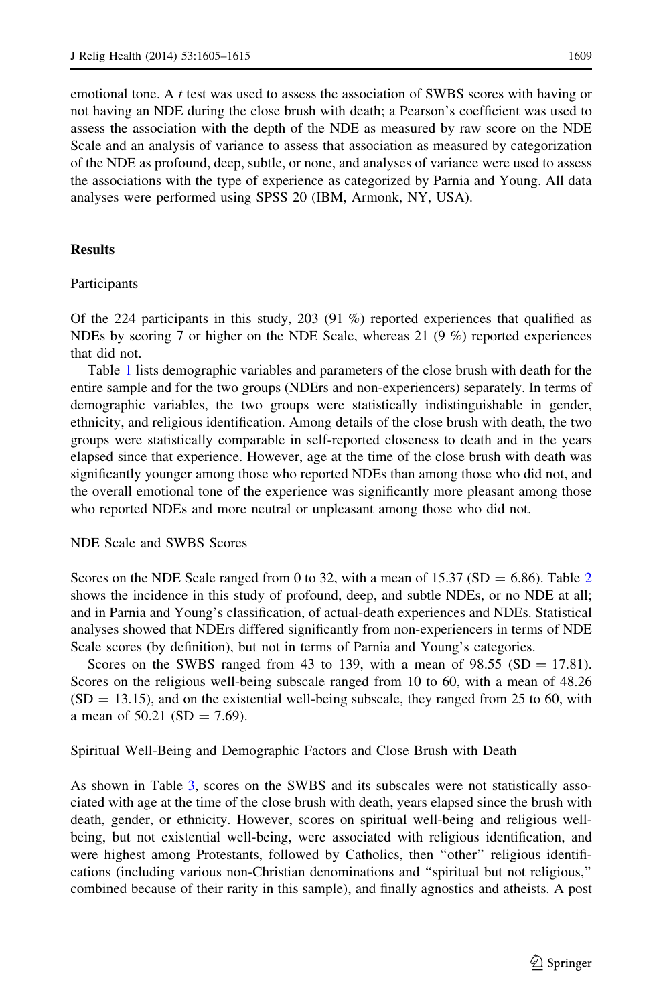emotional tone. A t test was used to assess the association of SWBS scores with having or not having an NDE during the close brush with death; a Pearson's coefficient was used to assess the association with the depth of the NDE as measured by raw score on the NDE Scale and an analysis of variance to assess that association as measured by categorization of the NDE as profound, deep, subtle, or none, and analyses of variance were used to assess the associations with the type of experience as categorized by Parnia and Young. All data analyses were performed using SPSS 20 (IBM, Armonk, NY, USA).

#### **Results**

Participants

Of the 224 participants in this study, 203 (91 %) reported experiences that qualified as NDEs by scoring 7 or higher on the NDE Scale, whereas 21  $(9\%)$  reported experiences that did not.

Table [1](#page-5-0) lists demographic variables and parameters of the close brush with death for the entire sample and for the two groups (NDErs and non-experiencers) separately. In terms of demographic variables, the two groups were statistically indistinguishable in gender, ethnicity, and religious identification. Among details of the close brush with death, the two groups were statistically comparable in self-reported closeness to death and in the years elapsed since that experience. However, age at the time of the close brush with death was significantly younger among those who reported NDEs than among those who did not, and the overall emotional tone of the experience was significantly more pleasant among those who reported NDEs and more neutral or unpleasant among those who did not.

#### NDE Scale and SWBS Scores

Scores on the NDE Scale ranged from 0 to 3[2](#page-6-0), with a mean of  $15.37$  (SD = 6.86). Table 2 shows the incidence in this study of profound, deep, and subtle NDEs, or no NDE at all; and in Parnia and Young's classification, of actual-death experiences and NDEs. Statistical analyses showed that NDErs differed significantly from non-experiencers in terms of NDE Scale scores (by definition), but not in terms of Parnia and Young's categories.

Scores on the SWBS ranged from 43 to 139, with a mean of  $98.55$  (SD = 17.81). Scores on the religious well-being subscale ranged from 10 to 60, with a mean of 48.26  $(SD = 13.15)$ , and on the existential well-being subscale, they ranged from 25 to 60, with a mean of  $50.21$  (SD = 7.69).

Spiritual Well-Being and Demographic Factors and Close Brush with Death

As shown in Table [3](#page-6-0), scores on the SWBS and its subscales were not statistically associated with age at the time of the close brush with death, years elapsed since the brush with death, gender, or ethnicity. However, scores on spiritual well-being and religious wellbeing, but not existential well-being, were associated with religious identification, and were highest among Protestants, followed by Catholics, then "other" religious identifications (including various non-Christian denominations and ''spiritual but not religious,'' combined because of their rarity in this sample), and finally agnostics and atheists. A post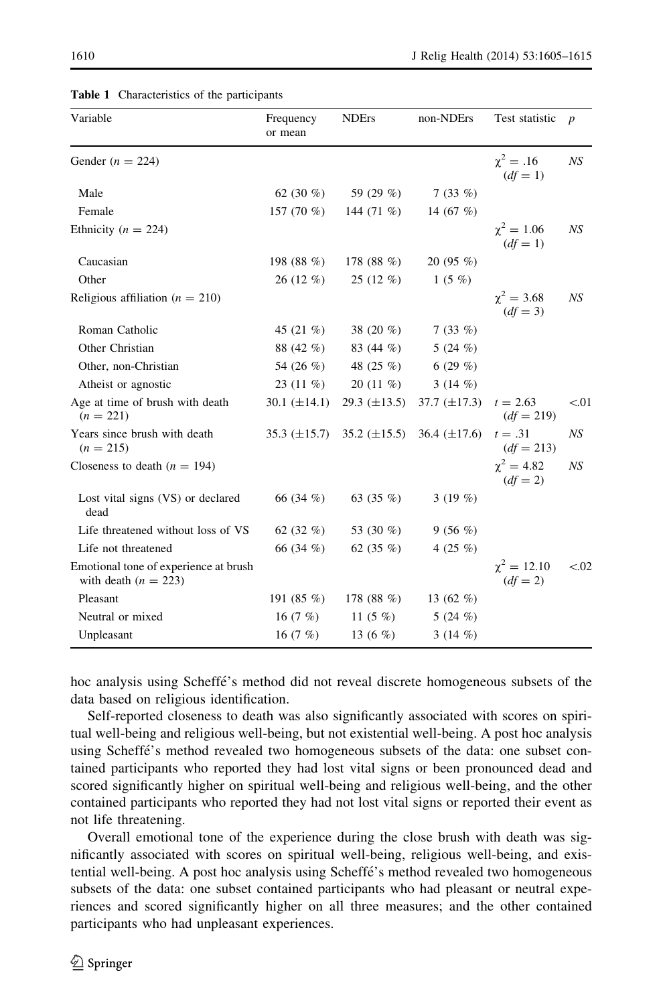| Variable                                                        | Frequency<br>or mean | <b>NDErs</b>        | non-NDErs         | Test statistic                   | $\boldsymbol{p}$ |
|-----------------------------------------------------------------|----------------------|---------------------|-------------------|----------------------------------|------------------|
| Gender ( $n = 224$ )                                            |                      |                     |                   | $\chi^2 = .16$<br>$(df = 1)$     | NS               |
| Male                                                            | 62 $(30\%)$          | 59 (29 %)           | $7(33\%)$         |                                  |                  |
| Female                                                          | 157 $(70\%$          | 144 $(71\%)$        | 14 (67 %)         |                                  |                  |
| Ethnicity ( $n = 224$ )                                         |                      |                     |                   | $\chi^2 = 1.06$<br>$(df = 1)$    | NS               |
| Caucasian                                                       | 198 $(88\%)$         | 178 $(88\%)$        | 20(95%)           |                                  |                  |
| Other                                                           | $26(12\%)$           | $25(12\%)$          | $1(5\%)$          |                                  |                  |
| Religious affiliation ( $n = 210$ )                             |                      |                     |                   | $\gamma^2 = 3.68$<br>$(df = 3)$  | NS               |
| Roman Catholic                                                  | 45 $(21\%)$          | 38 $(20\%$          | 7(33%)            |                                  |                  |
| Other Christian                                                 | 88 (42 %)            | 83 (44 %)           | 5 $(24 \%)$       |                                  |                  |
| Other, non-Christian                                            | 54 (26 %)            | 48 (25 %)           | 6 $(29\%)$        |                                  |                  |
| Atheist or agnostic                                             | $23(11\%)$           | $20(11\%)$          | 3(14%)            |                                  |                  |
| Age at time of brush with death<br>$(n = 221)$                  | 30.1 $(\pm 14.1)$    | $29.3 \ (\pm 13.5)$ | $37.7 (\pm 17.3)$ | $t = 2.63$<br>$(df = 219)$       | < 01             |
| Years since brush with death<br>$(n = 215)$                     | $35.3 \ (\pm 15.7)$  | $35.2 \ (\pm 15.5)$ | 36.4 $(\pm 17.6)$ | $t=.31$<br>$(df = 213)$          | NS               |
| Closeness to death $(n = 194)$                                  |                      |                     |                   | $\gamma^2 = 4.82$<br>$(df = 2)$  | NS               |
| Lost vital signs (VS) or declared<br>dead                       | 66 (34 %)            | 63 $(35\%)$         | 3 $(19\%)$        |                                  |                  |
| Life threatened without loss of VS                              | 62 $(32 \%)$         | 53 (30 %)           | 9(56%)            |                                  |                  |
| Life not threatened                                             | 66 (34 %)            | 62 $(35\%)$         | 4 $(25\%)$        |                                  |                  |
| Emotional tone of experience at brush<br>with death $(n = 223)$ |                      |                     |                   | $\gamma^2 = 12.10$<br>$(df = 2)$ | < 0.02           |
| Pleasant                                                        | 191 $(85\%)$         | 178 $(88\%)$        | 13 $(62 \%)$      |                                  |                  |
| Neutral or mixed                                                | 16 $(7 \%)$          | 11 $(5 \%)$         | 5 $(24 \%)$       |                                  |                  |
| Unpleasant                                                      | 16 $(7 \%)$          | 13 $(6 \%)$         | 3 $(14\%)$        |                                  |                  |

#### <span id="page-5-0"></span>Table 1 Characteristics of the participants

hoc analysis using Scheffe's method did not reveal discrete homogeneous subsets of the data based on religious identification.

Self-reported closeness to death was also significantly associated with scores on spiritual well-being and religious well-being, but not existential well-being. A post hoc analysis using Scheffe´'s method revealed two homogeneous subsets of the data: one subset contained participants who reported they had lost vital signs or been pronounced dead and scored significantly higher on spiritual well-being and religious well-being, and the other contained participants who reported they had not lost vital signs or reported their event as not life threatening.

Overall emotional tone of the experience during the close brush with death was significantly associated with scores on spiritual well-being, religious well-being, and existential well-being. A post hoc analysis using Scheffe´'s method revealed two homogeneous subsets of the data: one subset contained participants who had pleasant or neutral experiences and scored significantly higher on all three measures; and the other contained participants who had unpleasant experiences.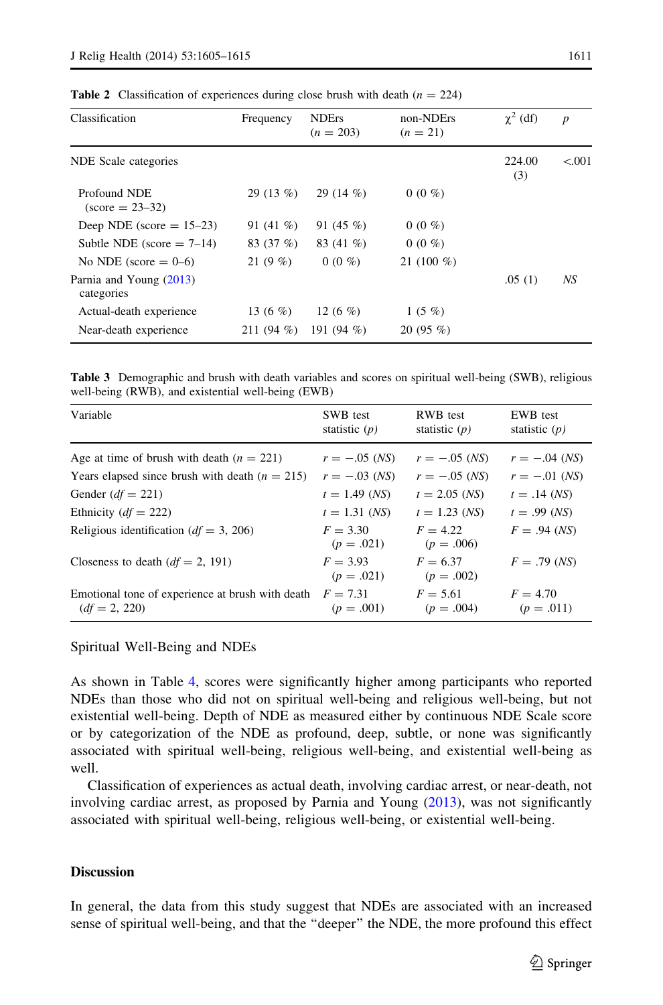| Classification                             | Frequency    | <b>NDErs</b><br>$(n = 203)$ | non-NDErs<br>$(n = 21)$ | $\chi^2$ (df) | $\boldsymbol{p}$ |
|--------------------------------------------|--------------|-----------------------------|-------------------------|---------------|------------------|
| NDE Scale categories                       |              |                             |                         | 224.00<br>(3) | < 0.01           |
| Profound NDE<br>$(\text{score} = 23 - 32)$ | 29(13%)      | 29 $(14\%)$                 | $0(0\%)$                |               |                  |
| Deep NDE (score $= 15-23$ )                | 91 $(41\%)$  | 91 $(45\%$                  | $0(0\%)$                |               |                  |
| Subtle NDE (score $= 7-14$ )               | 83 (37 %)    | 83 (41 %)                   | $0(0\%)$                |               |                  |
| No NDE (score $= 0-6$ )                    | 21 $(9\%)$   | $0(0\%$                     | 21 $(100\%$             |               |                  |
| Parnia and Young (2013)<br>categories      |              |                             |                         | .05(1)        | NS               |
| Actual-death experience                    | 13 $(6 \%)$  | 12 (6 $%$ )                 | $1(5\%)$                |               |                  |
| Near-death experience                      | 211 $(94\%)$ | 191 $(94\%)$                | $20(95\%)$              |               |                  |

<span id="page-6-0"></span>**Table 2** Classification of experiences during close brush with death ( $n = 224$ )

Table 3 Demographic and brush with death variables and scores on spiritual well-being (SWB), religious well-being (RWB), and existential well-being (EWB)

| Variable                                                            | SWB test<br>statistic $(p)$ | RWB test<br>statistic $(p)$ | EWB test<br>statistic $(p)$ |
|---------------------------------------------------------------------|-----------------------------|-----------------------------|-----------------------------|
| Age at time of brush with death $(n = 221)$                         | $r = -.05$ (NS)             | $r = -.05$ (NS)             | $r = -.04$ (NS)             |
| Years elapsed since brush with death $(n = 215)$                    | $r = -.03$ (NS)             | $r = -.05$ (NS)             | $r = -.01$ (NS)             |
| Gender $(df = 221)$                                                 | $t = 1.49$ (NS)             | $t = 2.05$ (NS)             | $t = .14$ (NS)              |
| Ethnicity $(df = 222)$                                              | $t = 1.31$ (NS)             | $t = 1.23$ (NS)             | $t = .99$ (NS)              |
| Religious identification ( $df = 3$ , 206)                          | $F = 3.30$<br>$(p=.021)$    | $F = 4.22$<br>$(p=.006)$    | $F = .94$ (NS)              |
| Closeness to death $(df = 2, 191)$                                  | $F = 3.93$<br>$(p=.021)$    | $F = 6.37$<br>$(p=.002)$    | $F = .79$ (NS)              |
| Emotional tone of experience at brush with death<br>$(df = 2, 220)$ | $F = 7.31$<br>$(p=.001)$    | $F = 5.61$<br>$(p=.004)$    | $F = 4.70$<br>$(p = .011)$  |

Spiritual Well-Being and NDEs

As shown in Table [4,](#page-7-0) scores were significantly higher among participants who reported NDEs than those who did not on spiritual well-being and religious well-being, but not existential well-being. Depth of NDE as measured either by continuous NDE Scale score or by categorization of the NDE as profound, deep, subtle, or none was significantly associated with spiritual well-being, religious well-being, and existential well-being as well.

Classification of experiences as actual death, involving cardiac arrest, or near-death, not involving cardiac arrest, as proposed by Parnia and Young [\(2013\)](#page-10-0), was not significantly associated with spiritual well-being, religious well-being, or existential well-being.

#### **Discussion**

In general, the data from this study suggest that NDEs are associated with an increased sense of spiritual well-being, and that the ''deeper'' the NDE, the more profound this effect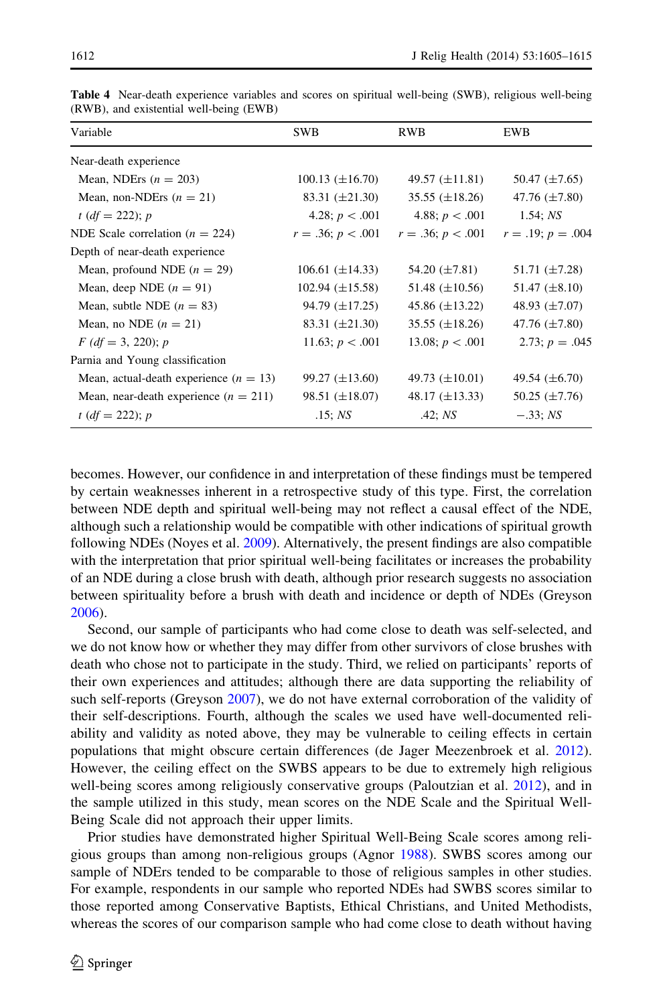| Variable                                 | <b>SWB</b>             | RWB                   | <b>EWB</b>          |
|------------------------------------------|------------------------|-----------------------|---------------------|
| Near-death experience                    |                        |                       |                     |
| Mean, NDErs $(n = 203)$                  | $100.13 \ (\pm 16.70)$ | 49.57 $(\pm 11.81)$   | 50.47 $(\pm 7.65)$  |
| Mean, non-NDErs $(n = 21)$               | 83.31 $(\pm 21.30)$    | $35.55 \ (\pm 18.26)$ | 47.76 $(\pm 7.80)$  |
| $t (df = 222); p$                        | 4.28; $p < .001$       | 4.88; $p < .001$      | 1.54; NS            |
| NDE Scale correlation ( $n = 224$ )      | $r = .36; p < .001$    | $r = .36; p < .001$   | $r = .19; p = .004$ |
| Depth of near-death experience           |                        |                       |                     |
| Mean, profound NDE $(n = 29)$            | 106.61 $(\pm 14.33)$   | 54.20 $(\pm 7.81)$    | 51.71 $(\pm 7.28)$  |
| Mean, deep NDE $(n = 91)$                | $102.94 \ (\pm 15.58)$ | 51.48 $(\pm 10.56)$   | 51.47 $(\pm 8.10)$  |
| Mean, subtle NDE $(n = 83)$              | 94.79 $(\pm 17.25)$    | 45.86 $(\pm 13.22)$   | 48.93 $(\pm 7.07)$  |
| Mean, no NDE $(n = 21)$                  | 83.31 $(\pm 21.30)$    | $35.55 \ (\pm 18.26)$ | 47.76 $(\pm 7.80)$  |
| $F (df = 3, 220); p$                     | 11.63; $p < .001$      | 13.08; $p < .001$     | 2.73; $p = .045$    |
| Parnia and Young classification          |                        |                       |                     |
| Mean, actual-death experience $(n = 13)$ | 99.27 $(\pm 13.60)$    | 49.73 $(\pm 10.01)$   | 49.54 $(\pm 6.70)$  |
| Mean, near-death experience $(n = 211)$  | $98.51 \ (\pm 18.07)$  | 48.17 $(\pm 13.33)$   | 50.25 $(\pm 7.76)$  |
| $t (df = 222); p$                        | .15: NS                | .42; NS               | $-.33; NS$          |

<span id="page-7-0"></span>Table 4 Near-death experience variables and scores on spiritual well-being (SWB), religious well-being (RWB), and existential well-being (EWB)

becomes. However, our confidence in and interpretation of these findings must be tempered by certain weaknesses inherent in a retrospective study of this type. First, the correlation between NDE depth and spiritual well-being may not reflect a causal effect of the NDE, although such a relationship would be compatible with other indications of spiritual growth following NDEs (Noyes et al. [2009](#page-9-0)). Alternatively, the present findings are also compatible with the interpretation that prior spiritual well-being facilitates or increases the probability of an NDE during a close brush with death, although prior research suggests no association between spirituality before a brush with death and incidence or depth of NDEs (Greyson [2006\)](#page-9-0).

Second, our sample of participants who had come close to death was self-selected, and we do not know how or whether they may differ from other survivors of close brushes with death who chose not to participate in the study. Third, we relied on participants' reports of their own experiences and attitudes; although there are data supporting the reliability of such self-reports (Greyson [2007\)](#page-9-0), we do not have external corroboration of the validity of their self-descriptions. Fourth, although the scales we used have well-documented reliability and validity as noted above, they may be vulnerable to ceiling effects in certain populations that might obscure certain differences (de Jager Meezenbroek et al. [2012](#page-9-0)). However, the ceiling effect on the SWBS appears to be due to extremely high religious well-being scores among religiously conservative groups (Paloutzian et al. [2012](#page-9-0)), and in the sample utilized in this study, mean scores on the NDE Scale and the Spiritual Well-Being Scale did not approach their upper limits.

Prior studies have demonstrated higher Spiritual Well-Being Scale scores among religious groups than among non-religious groups (Agnor [1988](#page-9-0)). SWBS scores among our sample of NDErs tended to be comparable to those of religious samples in other studies. For example, respondents in our sample who reported NDEs had SWBS scores similar to those reported among Conservative Baptists, Ethical Christians, and United Methodists, whereas the scores of our comparison sample who had come close to death without having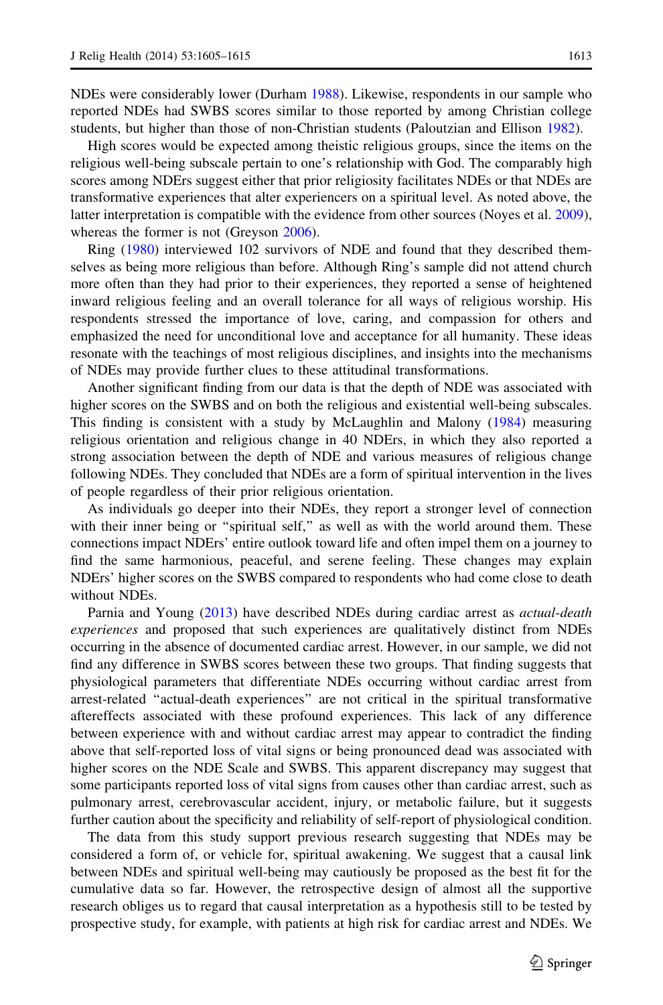NDEs were considerably lower (Durham [1988](#page-9-0)). Likewise, respondents in our sample who reported NDEs had SWBS scores similar to those reported by among Christian college students, but higher than those of non-Christian students (Paloutzian and Ellison [1982](#page-9-0)).

High scores would be expected among theistic religious groups, since the items on the religious well-being subscale pertain to one's relationship with God. The comparably high scores among NDErs suggest either that prior religiosity facilitates NDEs or that NDEs are transformative experiences that alter experiencers on a spiritual level. As noted above, the latter interpretation is compatible with the evidence from other sources (Noyes et al. [2009](#page-9-0)), whereas the former is not (Greyson [2006\)](#page-9-0).

Ring [\(1980](#page-10-0)) interviewed 102 survivors of NDE and found that they described themselves as being more religious than before. Although Ring's sample did not attend church more often than they had prior to their experiences, they reported a sense of heightened inward religious feeling and an overall tolerance for all ways of religious worship. His respondents stressed the importance of love, caring, and compassion for others and emphasized the need for unconditional love and acceptance for all humanity. These ideas resonate with the teachings of most religious disciplines, and insights into the mechanisms of NDEs may provide further clues to these attitudinal transformations.

Another significant finding from our data is that the depth of NDE was associated with higher scores on the SWBS and on both the religious and existential well-being subscales. This finding is consistent with a study by McLaughlin and Malony ([1984\)](#page-9-0) measuring religious orientation and religious change in 40 NDErs, in which they also reported a strong association between the depth of NDE and various measures of religious change following NDEs. They concluded that NDEs are a form of spiritual intervention in the lives of people regardless of their prior religious orientation.

As individuals go deeper into their NDEs, they report a stronger level of connection with their inner being or "spiritual self," as well as with the world around them. These connections impact NDErs' entire outlook toward life and often impel them on a journey to find the same harmonious, peaceful, and serene feeling. These changes may explain NDErs' higher scores on the SWBS compared to respondents who had come close to death without NDEs.

Parnia and Young ([2013](#page-10-0)) have described NDEs during cardiac arrest as actual-death experiences and proposed that such experiences are qualitatively distinct from NDEs occurring in the absence of documented cardiac arrest. However, in our sample, we did not find any difference in SWBS scores between these two groups. That finding suggests that physiological parameters that differentiate NDEs occurring without cardiac arrest from arrest-related ''actual-death experiences'' are not critical in the spiritual transformative aftereffects associated with these profound experiences. This lack of any difference between experience with and without cardiac arrest may appear to contradict the finding above that self-reported loss of vital signs or being pronounced dead was associated with higher scores on the NDE Scale and SWBS. This apparent discrepancy may suggest that some participants reported loss of vital signs from causes other than cardiac arrest, such as pulmonary arrest, cerebrovascular accident, injury, or metabolic failure, but it suggests further caution about the specificity and reliability of self-report of physiological condition.

The data from this study support previous research suggesting that NDEs may be considered a form of, or vehicle for, spiritual awakening. We suggest that a causal link between NDEs and spiritual well-being may cautiously be proposed as the best fit for the cumulative data so far. However, the retrospective design of almost all the supportive research obliges us to regard that causal interpretation as a hypothesis still to be tested by prospective study, for example, with patients at high risk for cardiac arrest and NDEs. We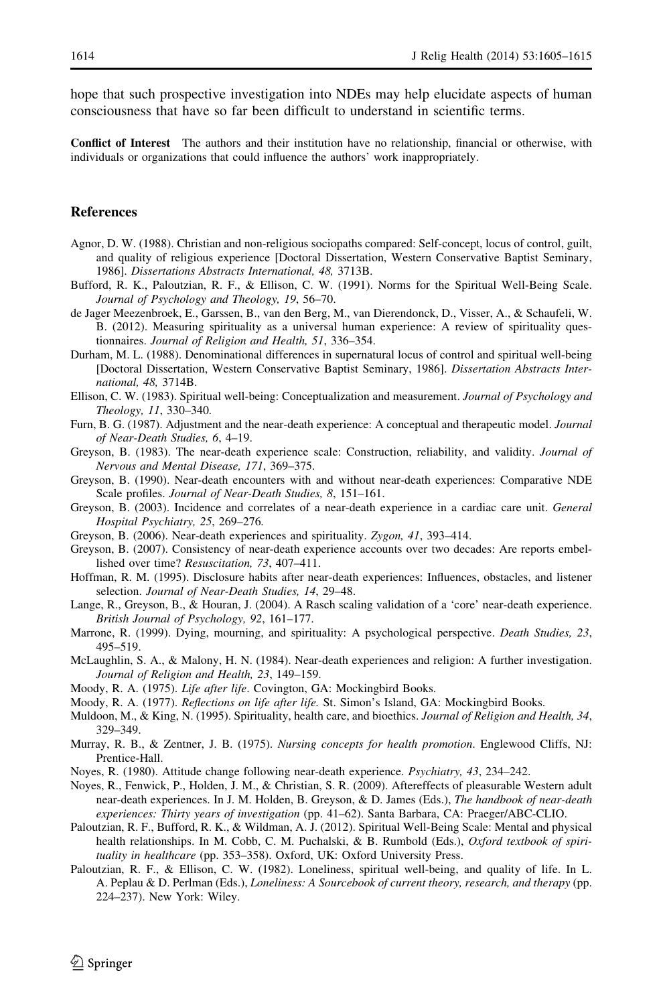<span id="page-9-0"></span>hope that such prospective investigation into NDEs may help elucidate aspects of human consciousness that have so far been difficult to understand in scientific terms.

Conflict of Interest The authors and their institution have no relationship, financial or otherwise, with individuals or organizations that could influence the authors' work inappropriately.

#### References

- Agnor, D. W. (1988). Christian and non-religious sociopaths compared: Self-concept, locus of control, guilt, and quality of religious experience [Doctoral Dissertation, Western Conservative Baptist Seminary, 1986]. Dissertations Abstracts International, 48, 3713B.
- Bufford, R. K., Paloutzian, R. F., & Ellison, C. W. (1991). Norms for the Spiritual Well-Being Scale. Journal of Psychology and Theology, 19, 56–70.
- de Jager Meezenbroek, E., Garssen, B., van den Berg, M., van Dierendonck, D., Visser, A., & Schaufeli, W. B. (2012). Measuring spirituality as a universal human experience: A review of spirituality questionnaires. Journal of Religion and Health, 51, 336–354.
- Durham, M. L. (1988). Denominational differences in supernatural locus of control and spiritual well-being [Doctoral Dissertation, Western Conservative Baptist Seminary, 1986]. Dissertation Abstracts International, 48, 3714B.
- Ellison, C. W. (1983). Spiritual well-being: Conceptualization and measurement. Journal of Psychology and Theology, 11, 330–340.
- Furn, B. G. (1987). Adjustment and the near-death experience: A conceptual and therapeutic model. *Journal* of Near-Death Studies, 6, 4–19.
- Greyson, B. (1983). The near-death experience scale: Construction, reliability, and validity. Journal of Nervous and Mental Disease, 171, 369–375.
- Greyson, B. (1990). Near-death encounters with and without near-death experiences: Comparative NDE Scale profiles. Journal of Near-Death Studies, 8, 151–161.
- Greyson, B. (2003). Incidence and correlates of a near-death experience in a cardiac care unit. General Hospital Psychiatry, 25, 269–276.
- Greyson, B. (2006). Near-death experiences and spirituality. Zygon, 41, 393–414.
- Greyson, B. (2007). Consistency of near-death experience accounts over two decades: Are reports embellished over time? Resuscitation, 73, 407–411.
- Hoffman, R. M. (1995). Disclosure habits after near-death experiences: Influences, obstacles, and listener selection. Journal of Near-Death Studies, 14, 29–48.
- Lange, R., Greyson, B., & Houran, J. (2004). A Rasch scaling validation of a 'core' near-death experience. British Journal of Psychology, 92, 161–177.
- Marrone, R. (1999). Dying, mourning, and spirituality: A psychological perspective. *Death Studies*, 23, 495–519.
- McLaughlin, S. A., & Malony, H. N. (1984). Near-death experiences and religion: A further investigation. Journal of Religion and Health, 23, 149–159.
- Moody, R. A. (1975). Life after life. Covington, GA: Mockingbird Books.
- Moody, R. A. (1977). Reflections on life after life. St. Simon's Island, GA: Mockingbird Books.
- Muldoon, M., & King, N. (1995). Spirituality, health care, and bioethics. Journal of Religion and Health, 34, 329–349.
- Murray, R. B., & Zentner, J. B. (1975). Nursing concepts for health promotion. Englewood Cliffs, NJ: Prentice-Hall.
- Noyes, R. (1980). Attitude change following near-death experience. Psychiatry, 43, 234–242.
- Noyes, R., Fenwick, P., Holden, J. M., & Christian, S. R. (2009). Aftereffects of pleasurable Western adult near-death experiences. In J. M. Holden, B. Greyson, & D. James (Eds.), The handbook of near-death experiences: Thirty years of investigation (pp. 41–62). Santa Barbara, CA: Praeger/ABC-CLIO.
- Paloutzian, R. F., Bufford, R. K., & Wildman, A. J. (2012). Spiritual Well-Being Scale: Mental and physical health relationships. In M. Cobb, C. M. Puchalski, & B. Rumbold (Eds.), Oxford textbook of spirituality in healthcare (pp. 353–358). Oxford, UK: Oxford University Press.
- Paloutzian, R. F., & Ellison, C. W. (1982). Loneliness, spiritual well-being, and quality of life. In L. A. Peplau & D. Perlman (Eds.), Loneliness: A Sourcebook of current theory, research, and therapy (pp. 224–237). New York: Wiley.